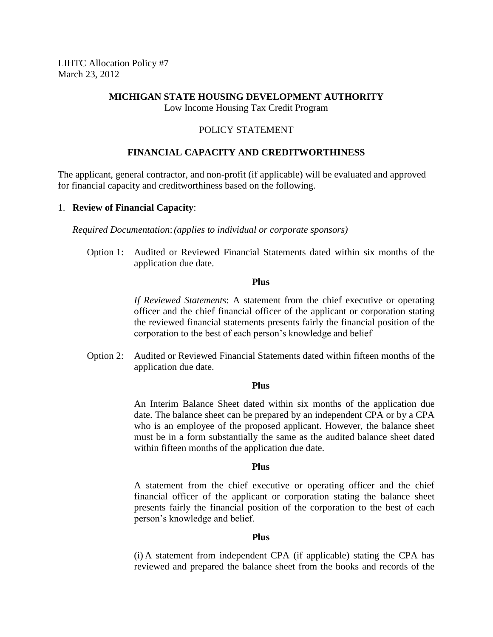LIHTC Allocation Policy #7 March 23, 2012

#### **MICHIGAN STATE HOUSING DEVELOPMENT AUTHORITY** Low Income Housing Tax Credit Program

## POLICY STATEMENT

# **FINANCIAL CAPACITY AND CREDITWORTHINESS**

The applicant, general contractor, and non-profit (if applicable) will be evaluated and approved for financial capacity and creditworthiness based on the following.

#### 1. **Review of Financial Capacity**:

*Required Documentation*:*(applies to individual or corporate sponsors)*

Option 1: Audited or Reviewed Financial Statements dated within six months of the application due date.

#### **Plus**

*If Reviewed Statements*: A statement from the chief executive or operating officer and the chief financial officer of the applicant or corporation stating the reviewed financial statements presents fairly the financial position of the corporation to the best of each person's knowledge and belief

Option 2: Audited or Reviewed Financial Statements dated within fifteen months of the application due date.

### **Plus**

An Interim Balance Sheet dated within six months of the application due date. The balance sheet can be prepared by an independent CPA or by a CPA who is an employee of the proposed applicant. However, the balance sheet must be in a form substantially the same as the audited balance sheet dated within fifteen months of the application due date.

### **Plus**

A statement from the chief executive or operating officer and the chief financial officer of the applicant or corporation stating the balance sheet presents fairly the financial position of the corporation to the best of each person's knowledge and belief.

### **Plus**

(i) A statement from independent CPA (if applicable) stating the CPA has reviewed and prepared the balance sheet from the books and records of the